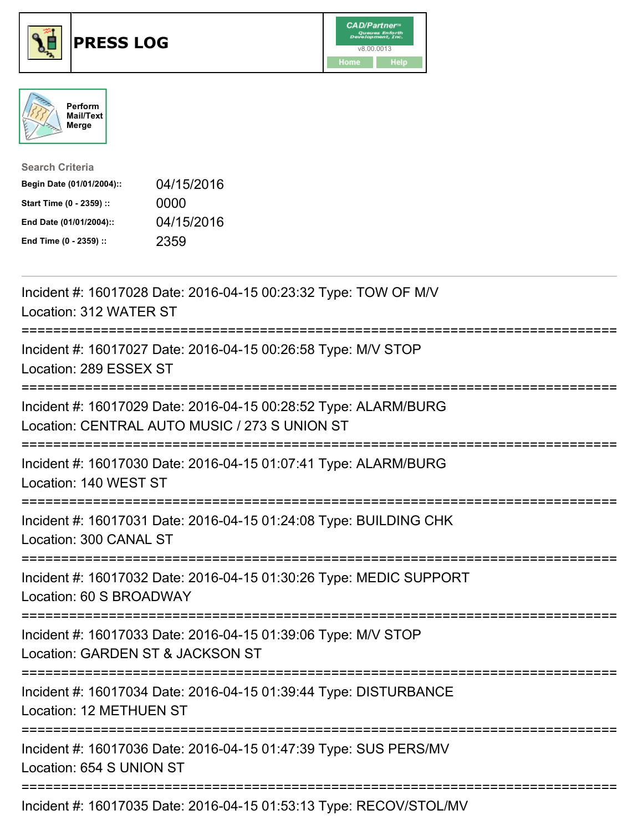





| <b>Search Criteria</b>    |            |
|---------------------------|------------|
| Begin Date (01/01/2004):: | 04/15/2016 |
| Start Time (0 - 2359) ::  | 0000       |
| End Date (01/01/2004)::   | 04/15/2016 |
| End Time (0 - 2359) ::    | 2359       |

| Incident #: 16017028 Date: 2016-04-15 00:23:32 Type: TOW OF M/V<br>Location: 312 WATER ST                                                        |
|--------------------------------------------------------------------------------------------------------------------------------------------------|
| Incident #: 16017027 Date: 2016-04-15 00:26:58 Type: M/V STOP<br>Location: 289 ESSEX ST                                                          |
| Incident #: 16017029 Date: 2016-04-15 00:28:52 Type: ALARM/BURG<br>Location: CENTRAL AUTO MUSIC / 273 S UNION ST<br>---------------------------- |
| Incident #: 16017030 Date: 2016-04-15 01:07:41 Type: ALARM/BURG<br>Location: 140 WEST ST                                                         |
| Incident #: 16017031 Date: 2016-04-15 01:24:08 Type: BUILDING CHK<br>Location: 300 CANAL ST                                                      |
| Incident #: 16017032 Date: 2016-04-15 01:30:26 Type: MEDIC SUPPORT<br>Location: 60 S BROADWAY                                                    |
| Incident #: 16017033 Date: 2016-04-15 01:39:06 Type: M/V STOP<br>Location: GARDEN ST & JACKSON ST<br>=====================                       |
| Incident #: 16017034 Date: 2016-04-15 01:39:44 Type: DISTURBANCE<br>Location: 12 METHUEN ST                                                      |
| Incident #: 16017036 Date: 2016-04-15 01:47:39 Type: SUS PERS/MV<br>Location: 654 S UNION ST                                                     |
| Incident #: 16017035 Date: 2016-04-15 01:53:13 Type: RECOV/STOL/MV                                                                               |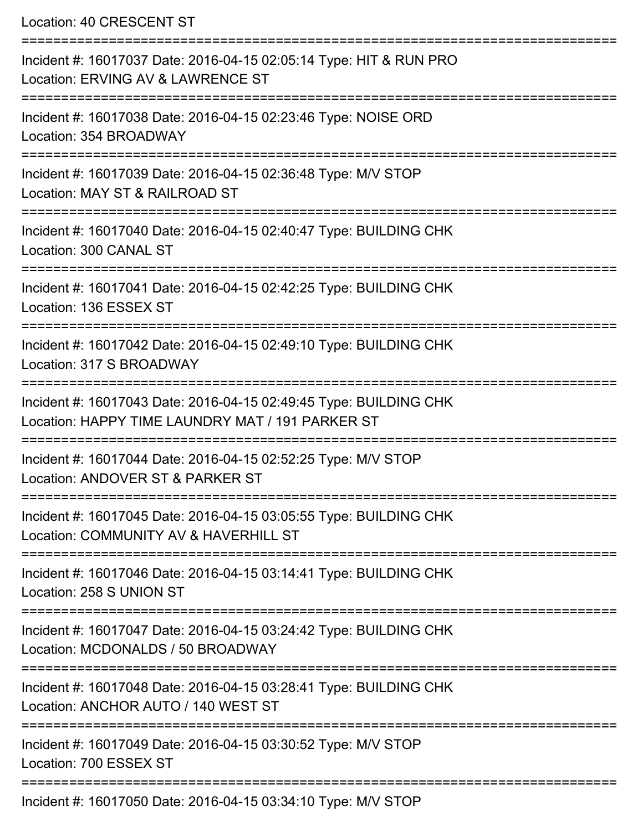Location: 40 CRESCENT ST

| Incident #: 16017037 Date: 2016-04-15 02:05:14 Type: HIT & RUN PRO<br>Location: ERVING AV & LAWRENCE ST               |
|-----------------------------------------------------------------------------------------------------------------------|
| Incident #: 16017038 Date: 2016-04-15 02:23:46 Type: NOISE ORD<br>Location: 354 BROADWAY                              |
| Incident #: 16017039 Date: 2016-04-15 02:36:48 Type: M/V STOP<br>Location: MAY ST & RAILROAD ST                       |
| Incident #: 16017040 Date: 2016-04-15 02:40:47 Type: BUILDING CHK<br>Location: 300 CANAL ST                           |
| Incident #: 16017041 Date: 2016-04-15 02:42:25 Type: BUILDING CHK<br>Location: 136 ESSEX ST                           |
| Incident #: 16017042 Date: 2016-04-15 02:49:10 Type: BUILDING CHK<br>Location: 317 S BROADWAY                         |
| Incident #: 16017043 Date: 2016-04-15 02:49:45 Type: BUILDING CHK<br>Location: HAPPY TIME LAUNDRY MAT / 191 PARKER ST |
| Incident #: 16017044 Date: 2016-04-15 02:52:25 Type: M/V STOP<br>Location: ANDOVER ST & PARKER ST                     |
| Incident #: 16017045 Date: 2016-04-15 03:05:55 Type: BUILDING CHK<br>Location: COMMUNITY AV & HAVERHILL ST            |
| Incident #: 16017046 Date: 2016-04-15 03:14:41 Type: BUILDING CHK<br>Location: 258 S UNION ST                         |
| Incident #: 16017047 Date: 2016-04-15 03:24:42 Type: BUILDING CHK<br>Location: MCDONALDS / 50 BROADWAY                |
| Incident #: 16017048 Date: 2016-04-15 03:28:41 Type: BUILDING CHK<br>Location: ANCHOR AUTO / 140 WEST ST              |
| Incident #: 16017049 Date: 2016-04-15 03:30:52 Type: M/V STOP<br>Location: 700 ESSEX ST                               |
| Incident #: 16017050 Date: 2016-04-15 03:34:10 Type: M/V STOP                                                         |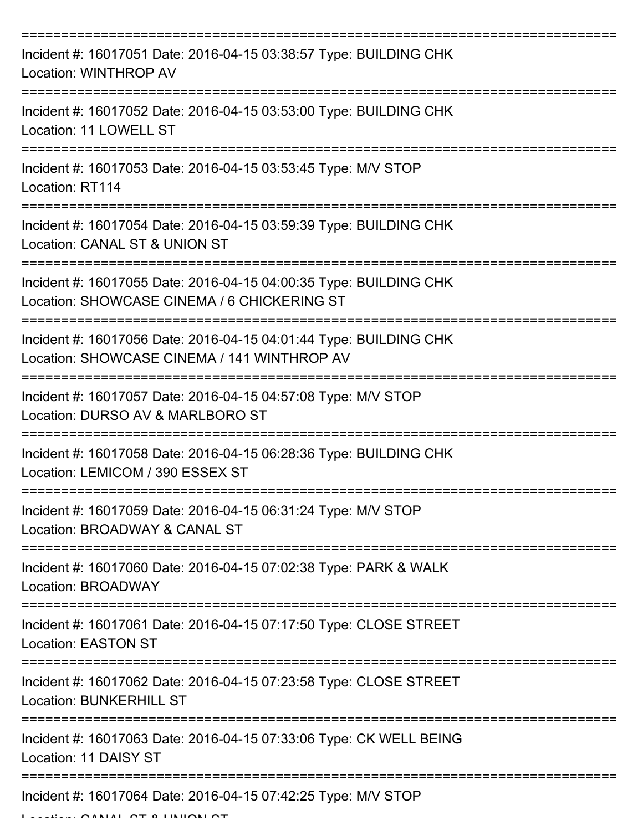| Incident #: 16017051 Date: 2016-04-15 03:38:57 Type: BUILDING CHK<br>Location: WINTHROP AV                       |
|------------------------------------------------------------------------------------------------------------------|
| Incident #: 16017052 Date: 2016-04-15 03:53:00 Type: BUILDING CHK<br>Location: 11 LOWELL ST                      |
| Incident #: 16017053 Date: 2016-04-15 03:53:45 Type: M/V STOP<br>Location: RT114                                 |
| Incident #: 16017054 Date: 2016-04-15 03:59:39 Type: BUILDING CHK<br>Location: CANAL ST & UNION ST               |
| Incident #: 16017055 Date: 2016-04-15 04:00:35 Type: BUILDING CHK<br>Location: SHOWCASE CINEMA / 6 CHICKERING ST |
| Incident #: 16017056 Date: 2016-04-15 04:01:44 Type: BUILDING CHK<br>Location: SHOWCASE CINEMA / 141 WINTHROP AV |
| Incident #: 16017057 Date: 2016-04-15 04:57:08 Type: M/V STOP<br>Location: DURSO AV & MARLBORO ST                |
| Incident #: 16017058 Date: 2016-04-15 06:28:36 Type: BUILDING CHK<br>Location: LEMICOM / 390 ESSEX ST            |
| Incident #: 16017059 Date: 2016-04-15 06:31:24 Type: M/V STOP<br>Location: BROADWAY & CANAL ST                   |
| Incident #: 16017060 Date: 2016-04-15 07:02:38 Type: PARK & WALK<br><b>Location: BROADWAY</b>                    |
| Incident #: 16017061 Date: 2016-04-15 07:17:50 Type: CLOSE STREET<br><b>Location: EASTON ST</b>                  |
| Incident #: 16017062 Date: 2016-04-15 07:23:58 Type: CLOSE STREET<br><b>Location: BUNKERHILL ST</b>              |
| Incident #: 16017063 Date: 2016-04-15 07:33:06 Type: CK WELL BEING<br>Location: 11 DAISY ST                      |
| Incident #: 16017064 Date: 2016-04-15 07:42:25 Type: M/V STOP                                                    |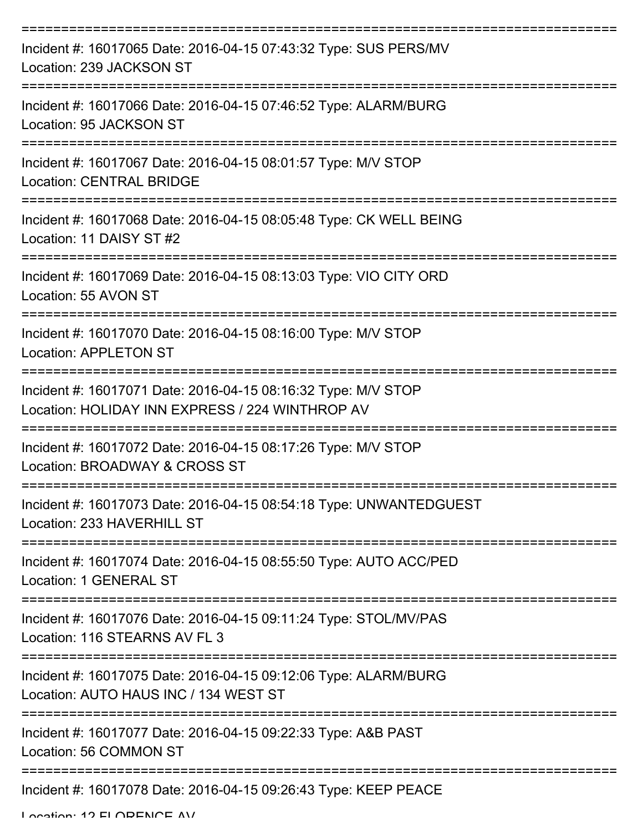| Incident #: 16017065 Date: 2016-04-15 07:43:32 Type: SUS PERS/MV<br>Location: 239 JACKSON ST                     |
|------------------------------------------------------------------------------------------------------------------|
| Incident #: 16017066 Date: 2016-04-15 07:46:52 Type: ALARM/BURG<br>Location: 95 JACKSON ST                       |
| Incident #: 16017067 Date: 2016-04-15 08:01:57 Type: M/V STOP<br><b>Location: CENTRAL BRIDGE</b>                 |
| Incident #: 16017068 Date: 2016-04-15 08:05:48 Type: CK WELL BEING<br>Location: 11 DAISY ST #2                   |
| Incident #: 16017069 Date: 2016-04-15 08:13:03 Type: VIO CITY ORD<br>Location: 55 AVON ST                        |
| Incident #: 16017070 Date: 2016-04-15 08:16:00 Type: M/V STOP<br><b>Location: APPLETON ST</b>                    |
| Incident #: 16017071 Date: 2016-04-15 08:16:32 Type: M/V STOP<br>Location: HOLIDAY INN EXPRESS / 224 WINTHROP AV |
| Incident #: 16017072 Date: 2016-04-15 08:17:26 Type: M/V STOP<br>Location: BROADWAY & CROSS ST                   |
| Incident #: 16017073 Date: 2016-04-15 08:54:18 Type: UNWANTEDGUEST<br>Location: 233 HAVERHILL ST                 |
| Incident #: 16017074 Date: 2016-04-15 08:55:50 Type: AUTO ACC/PED<br>Location: 1 GENERAL ST                      |
| Incident #: 16017076 Date: 2016-04-15 09:11:24 Type: STOL/MV/PAS<br>Location: 116 STEARNS AV FL 3                |
| Incident #: 16017075 Date: 2016-04-15 09:12:06 Type: ALARM/BURG<br>Location: AUTO HAUS INC / 134 WEST ST         |
| Incident #: 16017077 Date: 2016-04-15 09:22:33 Type: A&B PAST<br>Location: 56 COMMON ST                          |
| Incident #: 16017078 Date: 2016-04-15 09:26:43 Type: KEEP PEACE                                                  |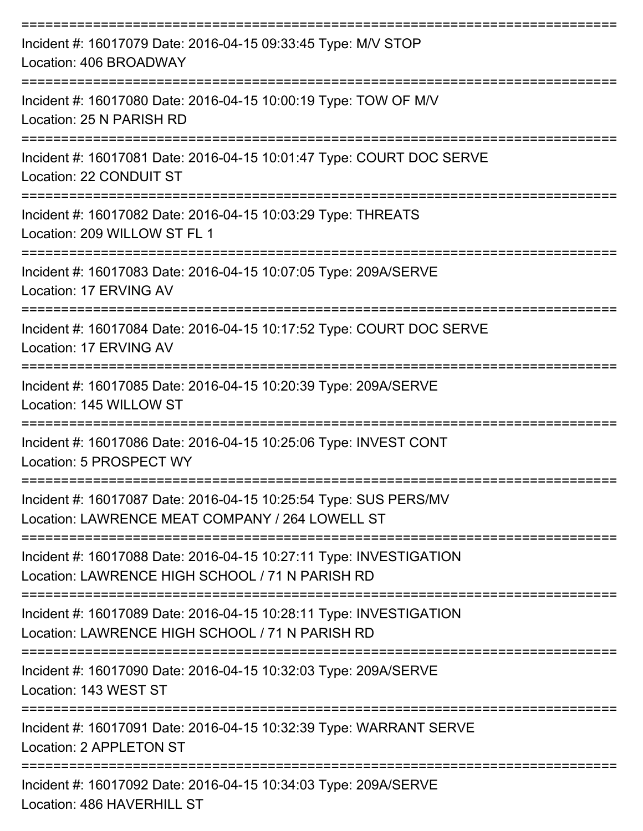| Incident #: 16017079 Date: 2016-04-15 09:33:45 Type: M/V STOP<br>Location: 406 BROADWAY                               |
|-----------------------------------------------------------------------------------------------------------------------|
| Incident #: 16017080 Date: 2016-04-15 10:00:19 Type: TOW OF M/V<br>Location: 25 N PARISH RD                           |
| Incident #: 16017081 Date: 2016-04-15 10:01:47 Type: COURT DOC SERVE<br>Location: 22 CONDUIT ST                       |
| Incident #: 16017082 Date: 2016-04-15 10:03:29 Type: THREATS<br>Location: 209 WILLOW ST FL 1                          |
| Incident #: 16017083 Date: 2016-04-15 10:07:05 Type: 209A/SERVE<br>Location: 17 ERVING AV                             |
| Incident #: 16017084 Date: 2016-04-15 10:17:52 Type: COURT DOC SERVE<br>Location: 17 ERVING AV                        |
| Incident #: 16017085 Date: 2016-04-15 10:20:39 Type: 209A/SERVE<br>Location: 145 WILLOW ST                            |
| Incident #: 16017086 Date: 2016-04-15 10:25:06 Type: INVEST CONT<br>Location: 5 PROSPECT WY                           |
| Incident #: 16017087 Date: 2016-04-15 10:25:54 Type: SUS PERS/MV<br>Location: LAWRENCE MEAT COMPANY / 264 LOWELL ST   |
| Incident #: 16017088 Date: 2016-04-15 10:27:11 Type: INVESTIGATION<br>Location: LAWRENCE HIGH SCHOOL / 71 N PARISH RD |
| Incident #: 16017089 Date: 2016-04-15 10:28:11 Type: INVESTIGATION<br>Location: LAWRENCE HIGH SCHOOL / 71 N PARISH RD |
| Incident #: 16017090 Date: 2016-04-15 10:32:03 Type: 209A/SERVE<br>Location: 143 WEST ST                              |
| Incident #: 16017091 Date: 2016-04-15 10:32:39 Type: WARRANT SERVE<br>Location: 2 APPLETON ST                         |
| Incident #: 16017092 Date: 2016-04-15 10:34:03 Type: 209A/SERVE<br>Location: 486 HAVERHILL ST                         |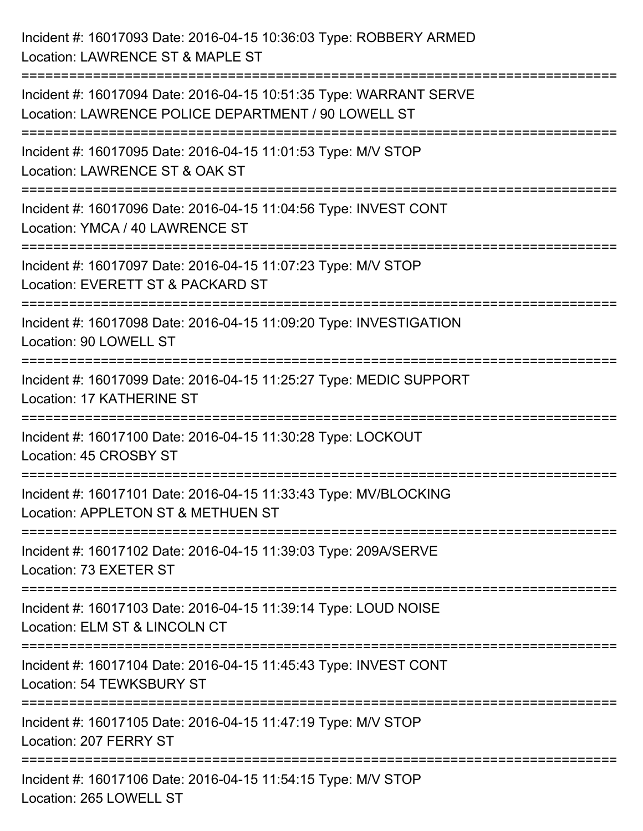Incident #: 16017093 Date: 2016-04-15 10:36:03 Type: ROBBERY ARMED Location: LAWRENCE ST & MAPLE ST =========================================================================== Incident #: 16017094 Date: 2016-04-15 10:51:35 Type: WARRANT SERVE Location: LAWRENCE POLICE DEPARTMENT / 90 LOWELL ST =========================================================================== Incident #: 16017095 Date: 2016-04-15 11:01:53 Type: M/V STOP Location: LAWRENCE ST & OAK ST =========================================================================== Incident #: 16017096 Date: 2016-04-15 11:04:56 Type: INVEST CONT Location: YMCA / 40 LAWRENCE ST =========================================================================== Incident #: 16017097 Date: 2016-04-15 11:07:23 Type: M/V STOP Location: EVERETT ST & PACKARD ST =========================================================================== Incident #: 16017098 Date: 2016-04-15 11:09:20 Type: INVESTIGATION Location: 90 LOWELL ST =========================================================================== Incident #: 16017099 Date: 2016-04-15 11:25:27 Type: MEDIC SUPPORT Location: 17 KATHERINE ST =========================================================================== Incident #: 16017100 Date: 2016-04-15 11:30:28 Type: LOCKOUT Location: 45 CROSBY ST =========================================================================== Incident #: 16017101 Date: 2016-04-15 11:33:43 Type: MV/BLOCKING Location: APPLETON ST & METHUEN ST =========================================================================== Incident #: 16017102 Date: 2016-04-15 11:39:03 Type: 209A/SERVE Location: 73 EXETER ST =========================================================================== Incident #: 16017103 Date: 2016-04-15 11:39:14 Type: LOUD NOISE Location: ELM ST & LINCOLN CT =========================================================================== Incident #: 16017104 Date: 2016-04-15 11:45:43 Type: INVEST CONT Location: 54 TEWKSBURY ST =========================================================================== Incident #: 16017105 Date: 2016-04-15 11:47:19 Type: M/V STOP Location: 207 FERRY ST =========================================================================== Incident #: 16017106 Date: 2016-04-15 11:54:15 Type: M/V STOP Location: 265 LOWELL ST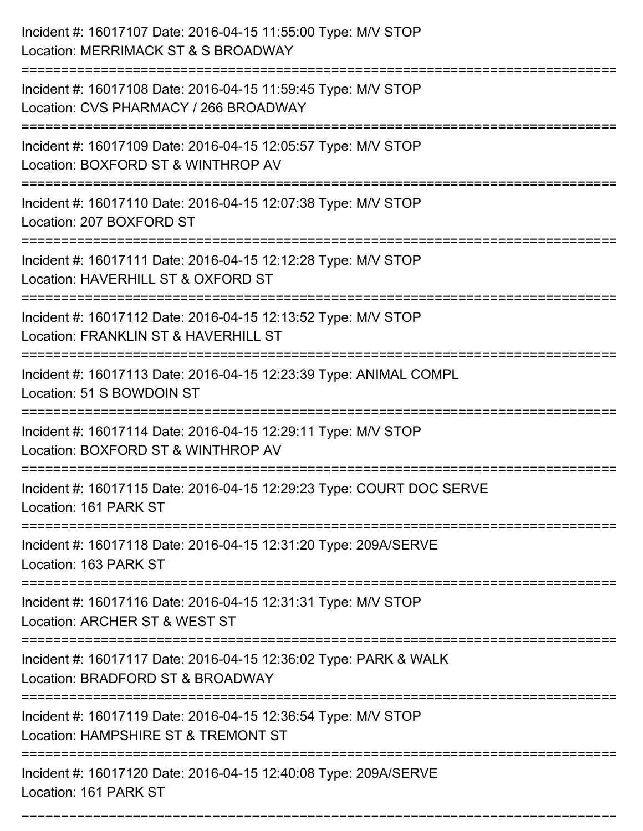| Incident #: 16017107 Date: 2016-04-15 11:55:00 Type: M/V STOP<br>Location: MERRIMACK ST & S BROADWAY                                      |
|-------------------------------------------------------------------------------------------------------------------------------------------|
| -------------------------------<br>Incident #: 16017108 Date: 2016-04-15 11:59:45 Type: M/V STOP<br>Location: CVS PHARMACY / 266 BROADWAY |
| Incident #: 16017109 Date: 2016-04-15 12:05:57 Type: M/V STOP<br>Location: BOXFORD ST & WINTHROP AV                                       |
| Incident #: 16017110 Date: 2016-04-15 12:07:38 Type: M/V STOP<br>Location: 207 BOXFORD ST                                                 |
| Incident #: 16017111 Date: 2016-04-15 12:12:28 Type: M/V STOP<br>Location: HAVERHILL ST & OXFORD ST<br>=============================      |
| Incident #: 16017112 Date: 2016-04-15 12:13:52 Type: M/V STOP<br>Location: FRANKLIN ST & HAVERHILL ST                                     |
| Incident #: 16017113 Date: 2016-04-15 12:23:39 Type: ANIMAL COMPL<br>Location: 51 S BOWDOIN ST                                            |
| Incident #: 16017114 Date: 2016-04-15 12:29:11 Type: M/V STOP<br>Location: BOXFORD ST & WINTHROP AV                                       |
| Incident #: 16017115 Date: 2016-04-15 12:29:23 Type: COURT DOC SERVE<br>Location: 161 PARK ST                                             |
| :====================<br>Incident #: 16017118 Date: 2016-04-15 12:31:20 Type: 209A/SERVE<br>Location: 163 PARK ST                         |
| Incident #: 16017116 Date: 2016-04-15 12:31:31 Type: M/V STOP<br>Location: ARCHER ST & WEST ST                                            |
| Incident #: 16017117 Date: 2016-04-15 12:36:02 Type: PARK & WALK<br>Location: BRADFORD ST & BROADWAY                                      |
| Incident #: 16017119 Date: 2016-04-15 12:36:54 Type: M/V STOP<br>Location: HAMPSHIRE ST & TREMONT ST                                      |
| Incident #: 16017120 Date: 2016-04-15 12:40:08 Type: 209A/SERVE<br>Location: 161 PARK ST                                                  |

===========================================================================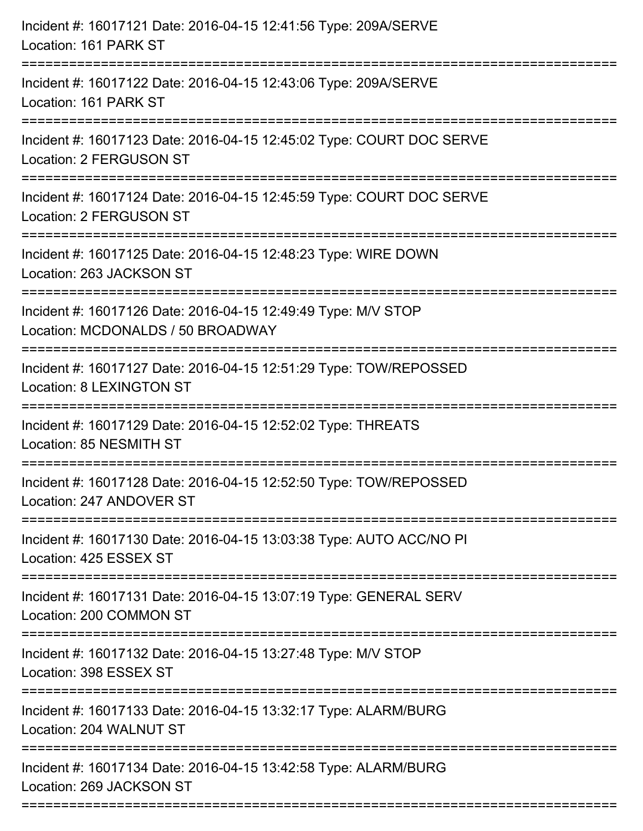| Incident #: 16017121 Date: 2016-04-15 12:41:56 Type: 209A/SERVE<br>Location: 161 PARK ST                                     |
|------------------------------------------------------------------------------------------------------------------------------|
| Incident #: 16017122 Date: 2016-04-15 12:43:06 Type: 209A/SERVE<br>Location: 161 PARK ST                                     |
| Incident #: 16017123 Date: 2016-04-15 12:45:02 Type: COURT DOC SERVE<br>Location: 2 FERGUSON ST                              |
| Incident #: 16017124 Date: 2016-04-15 12:45:59 Type: COURT DOC SERVE<br>Location: 2 FERGUSON ST                              |
| Incident #: 16017125 Date: 2016-04-15 12:48:23 Type: WIRE DOWN<br>Location: 263 JACKSON ST<br>============================== |
| Incident #: 16017126 Date: 2016-04-15 12:49:49 Type: M/V STOP<br>Location: MCDONALDS / 50 BROADWAY                           |
| Incident #: 16017127 Date: 2016-04-15 12:51:29 Type: TOW/REPOSSED<br><b>Location: 8 LEXINGTON ST</b>                         |
| Incident #: 16017129 Date: 2016-04-15 12:52:02 Type: THREATS<br>Location: 85 NESMITH ST                                      |
| Incident #: 16017128 Date: 2016-04-15 12:52:50 Type: TOW/REPOSSED<br>Location: 247 ANDOVER ST                                |
| Incident #: 16017130 Date: 2016-04-15 13:03:38 Type: AUTO ACC/NO PI<br>Location: 425 ESSEX ST                                |
| Incident #: 16017131 Date: 2016-04-15 13:07:19 Type: GENERAL SERV<br>Location: 200 COMMON ST                                 |
| Incident #: 16017132 Date: 2016-04-15 13:27:48 Type: M/V STOP<br>Location: 398 ESSEX ST                                      |
| Incident #: 16017133 Date: 2016-04-15 13:32:17 Type: ALARM/BURG<br>Location: 204 WALNUT ST                                   |
| Incident #: 16017134 Date: 2016-04-15 13:42:58 Type: ALARM/BURG<br>Location: 269 JACKSON ST                                  |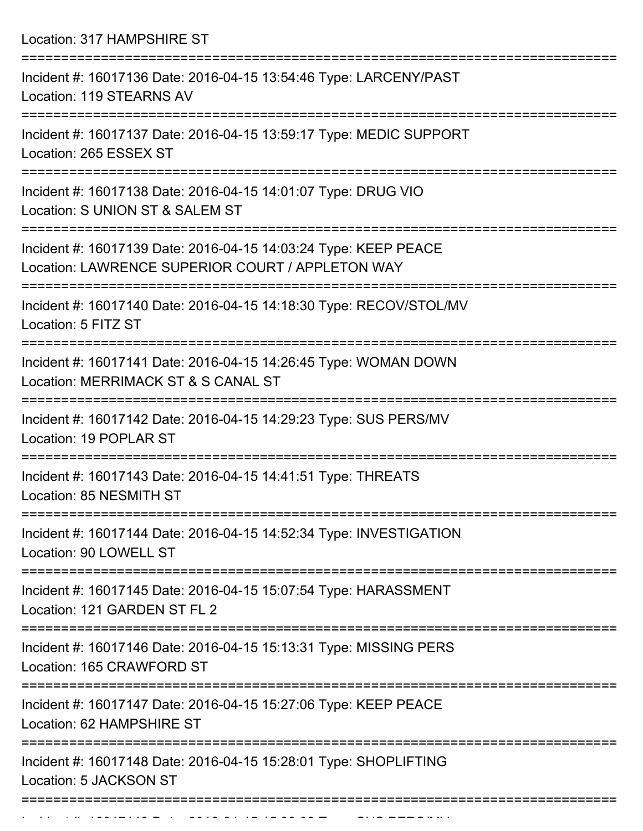Location: 317 HAMPSHIRE ST

| Incident #: 16017136 Date: 2016-04-15 13:54:46 Type: LARCENY/PAST<br>Location: 119 STEARNS AV                       |
|---------------------------------------------------------------------------------------------------------------------|
| Incident #: 16017137 Date: 2016-04-15 13:59:17 Type: MEDIC SUPPORT<br>Location: 265 ESSEX ST                        |
| Incident #: 16017138 Date: 2016-04-15 14:01:07 Type: DRUG VIO<br>Location: S UNION ST & SALEM ST                    |
| Incident #: 16017139 Date: 2016-04-15 14:03:24 Type: KEEP PEACE<br>Location: LAWRENCE SUPERIOR COURT / APPLETON WAY |
| Incident #: 16017140 Date: 2016-04-15 14:18:30 Type: RECOV/STOL/MV<br>Location: 5 FITZ ST                           |
| Incident #: 16017141 Date: 2016-04-15 14:26:45 Type: WOMAN DOWN<br>Location: MERRIMACK ST & S CANAL ST              |
| Incident #: 16017142 Date: 2016-04-15 14:29:23 Type: SUS PERS/MV<br>Location: 19 POPLAR ST                          |
| Incident #: 16017143 Date: 2016-04-15 14:41:51 Type: THREATS<br>Location: 85 NESMITH ST                             |
| Incident #: 16017144 Date: 2016-04-15 14:52:34 Type: INVESTIGATION<br>Location: 90 LOWELL ST                        |
| Incident #: 16017145 Date: 2016-04-15 15:07:54 Type: HARASSMENT<br>Location: 121 GARDEN ST FL 2                     |
| Incident #: 16017146 Date: 2016-04-15 15:13:31 Type: MISSING PERS<br>Location: 165 CRAWFORD ST                      |
| Incident #: 16017147 Date: 2016-04-15 15:27:06 Type: KEEP PEACE<br>Location: 62 HAMPSHIRE ST                        |
| Incident #: 16017148 Date: 2016-04-15 15:28:01 Type: SHOPLIFTING<br>Location: 5 JACKSON ST                          |
| ==================                                                                                                  |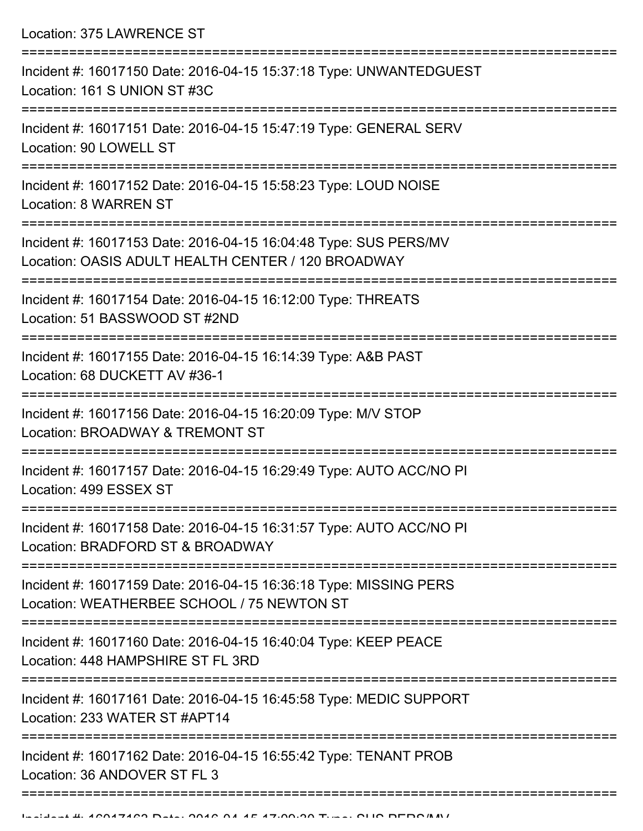Location: 375 LAWRENCE ST =========================================================================== Incident #: 16017150 Date: 2016-04-15 15:37:18 Type: UNWANTEDGUEST Location: 161 S UNION ST #3C =========================================================================== Incident #: 16017151 Date: 2016-04-15 15:47:19 Type: GENERAL SERV Location: 90 LOWELL ST =========================================================================== Incident #: 16017152 Date: 2016-04-15 15:58:23 Type: LOUD NOISE Location: 8 WARREN ST =========================================================================== Incident #: 16017153 Date: 2016-04-15 16:04:48 Type: SUS PERS/MV Location: OASIS ADULT HEALTH CENTER / 120 BROADWAY =========================================================================== Incident #: 16017154 Date: 2016-04-15 16:12:00 Type: THREATS Location: 51 BASSWOOD ST #2ND =========================================================================== Incident #: 16017155 Date: 2016-04-15 16:14:39 Type: A&B PAST Location: 68 DUCKETT AV #36-1 =========================================================================== Incident #: 16017156 Date: 2016-04-15 16:20:09 Type: M/V STOP Location: BROADWAY & TREMONT ST =========================================================================== Incident #: 16017157 Date: 2016-04-15 16:29:49 Type: AUTO ACC/NO PI Location: 499 ESSEX ST =========================================================================== Incident #: 16017158 Date: 2016-04-15 16:31:57 Type: AUTO ACC/NO PI Location: BRADFORD ST & BROADWAY =========================================================================== Incident #: 16017159 Date: 2016-04-15 16:36:18 Type: MISSING PERS Location: WEATHERBEE SCHOOL / 75 NEWTON ST =========================================================================== Incident #: 16017160 Date: 2016-04-15 16:40:04 Type: KEEP PEACE Location: 448 HAMPSHIRE ST FL 3RD =========================================================================== Incident #: 16017161 Date: 2016-04-15 16:45:58 Type: MEDIC SUPPORT Location: 233 WATER ST #APT14 =========================================================================== Incident #: 16017162 Date: 2016-04-15 16:55:42 Type: TENANT PROB Location: 36 ANDOVER ST FL 3

===========================================================================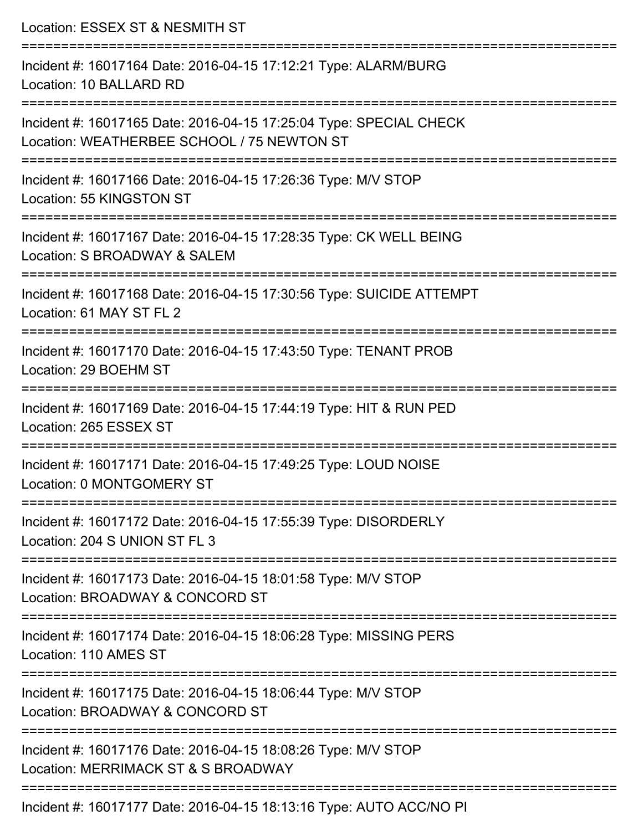| Location: ESSEX ST & NESMITH ST                                                                                                         |
|-----------------------------------------------------------------------------------------------------------------------------------------|
| Incident #: 16017164 Date: 2016-04-15 17:12:21 Type: ALARM/BURG<br>Location: 10 BALLARD RD                                              |
| Incident #: 16017165 Date: 2016-04-15 17:25:04 Type: SPECIAL CHECK<br>Location: WEATHERBEE SCHOOL / 75 NEWTON ST                        |
| Incident #: 16017166 Date: 2016-04-15 17:26:36 Type: M/V STOP<br>Location: 55 KINGSTON ST                                               |
| Incident #: 16017167 Date: 2016-04-15 17:28:35 Type: CK WELL BEING<br>Location: S BROADWAY & SALEM                                      |
| Incident #: 16017168 Date: 2016-04-15 17:30:56 Type: SUICIDE ATTEMPT<br>Location: 61 MAY ST FL 2                                        |
| Incident #: 16017170 Date: 2016-04-15 17:43:50 Type: TENANT PROB<br>Location: 29 BOEHM ST                                               |
| Incident #: 16017169 Date: 2016-04-15 17:44:19 Type: HIT & RUN PED<br>Location: 265 ESSEX ST                                            |
| Incident #: 16017171 Date: 2016-04-15 17:49:25 Type: LOUD NOISE<br>Location: 0 MONTGOMERY ST                                            |
| ------------------------------<br>Incident #: 16017172 Date: 2016-04-15 17:55:39 Type: DISORDERLY<br>Location: 204 S UNION ST FL 3      |
| Incident #: 16017173 Date: 2016-04-15 18:01:58 Type: M/V STOP<br>Location: BROADWAY & CONCORD ST                                        |
| Incident #: 16017174 Date: 2016-04-15 18:06:28 Type: MISSING PERS<br>Location: 110 AMES ST                                              |
| :==================================<br>Incident #: 16017175 Date: 2016-04-15 18:06:44 Type: M/V STOP<br>Location: BROADWAY & CONCORD ST |
| Incident #: 16017176 Date: 2016-04-15 18:08:26 Type: M/V STOP<br>Location: MERRIMACK ST & S BROADWAY                                    |
| Incident #: 16017177 Date: 2016-04-15 18:13:16 Type: AUTO ACC/NO PI                                                                     |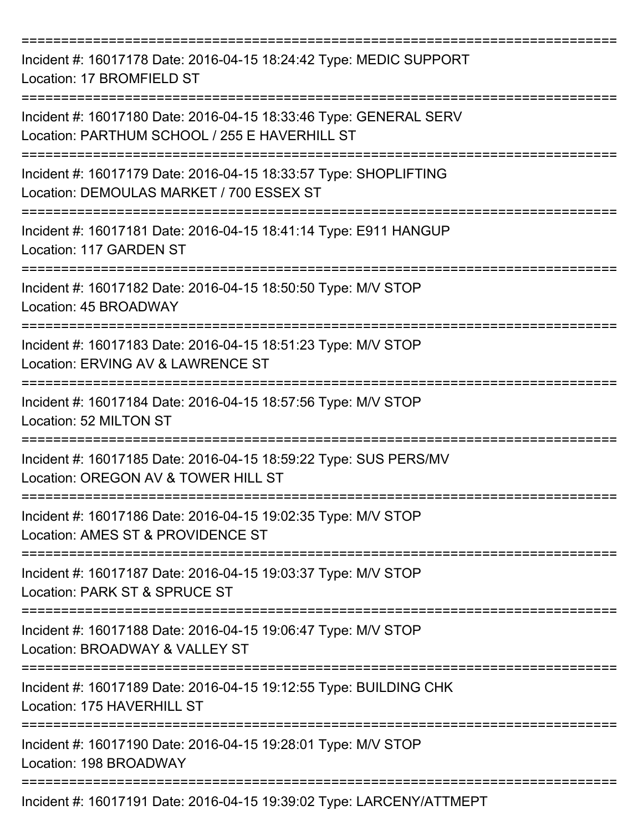| Incident #: 16017178 Date: 2016-04-15 18:24:42 Type: MEDIC SUPPORT<br>Location: 17 BROMFIELD ST                              |
|------------------------------------------------------------------------------------------------------------------------------|
| Incident #: 16017180 Date: 2016-04-15 18:33:46 Type: GENERAL SERV<br>Location: PARTHUM SCHOOL / 255 E HAVERHILL ST           |
| Incident #: 16017179 Date: 2016-04-15 18:33:57 Type: SHOPLIFTING<br>Location: DEMOULAS MARKET / 700 ESSEX ST                 |
| Incident #: 16017181 Date: 2016-04-15 18:41:14 Type: E911 HANGUP<br>Location: 117 GARDEN ST                                  |
| Incident #: 16017182 Date: 2016-04-15 18:50:50 Type: M/V STOP<br>Location: 45 BROADWAY                                       |
| Incident #: 16017183 Date: 2016-04-15 18:51:23 Type: M/V STOP<br>Location: ERVING AV & LAWRENCE ST                           |
| Incident #: 16017184 Date: 2016-04-15 18:57:56 Type: M/V STOP<br>Location: 52 MILTON ST                                      |
| Incident #: 16017185 Date: 2016-04-15 18:59:22 Type: SUS PERS/MV<br>Location: OREGON AV & TOWER HILL ST                      |
| ======================<br>Incident #: 16017186 Date: 2016-04-15 19:02:35 Type: M/V STOP<br>Location: AMES ST & PROVIDENCE ST |
| Incident #: 16017187 Date: 2016-04-15 19:03:37 Type: M/V STOP<br>Location: PARK ST & SPRUCE ST                               |
| Incident #: 16017188 Date: 2016-04-15 19:06:47 Type: M/V STOP<br>Location: BROADWAY & VALLEY ST                              |
| Incident #: 16017189 Date: 2016-04-15 19:12:55 Type: BUILDING CHK<br>Location: 175 HAVERHILL ST                              |
| ========================<br>Incident #: 16017190 Date: 2016-04-15 19:28:01 Type: M/V STOP<br>Location: 198 BROADWAY          |
| Incident #: 16017191 Date: 2016-04-15 19:39:02 Type: LARCENY/ATTMEPT                                                         |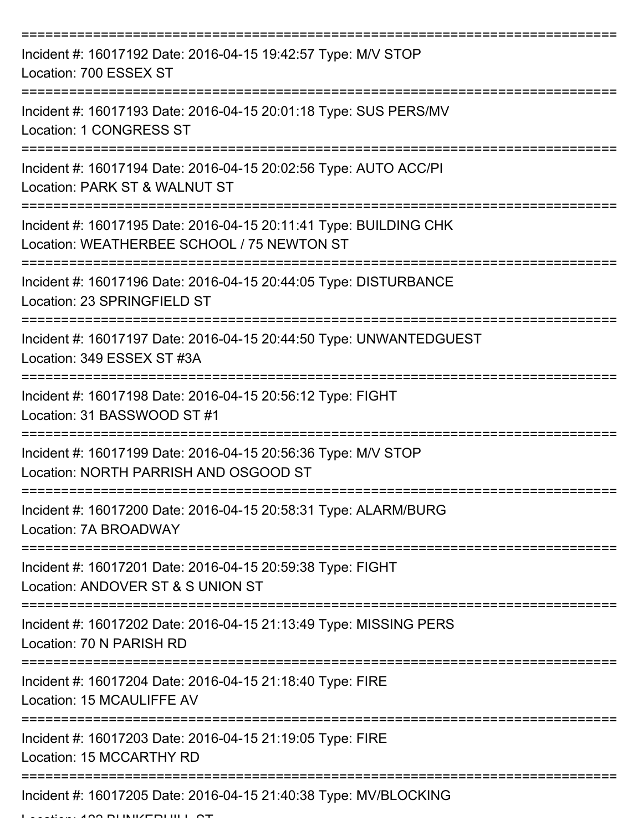| Incident #: 16017192 Date: 2016-04-15 19:42:57 Type: M/V STOP<br>Location: 700 ESSEX ST                         |
|-----------------------------------------------------------------------------------------------------------------|
| Incident #: 16017193 Date: 2016-04-15 20:01:18 Type: SUS PERS/MV<br><b>Location: 1 CONGRESS ST</b>              |
| Incident #: 16017194 Date: 2016-04-15 20:02:56 Type: AUTO ACC/PI<br>Location: PARK ST & WALNUT ST               |
| Incident #: 16017195 Date: 2016-04-15 20:11:41 Type: BUILDING CHK<br>Location: WEATHERBEE SCHOOL / 75 NEWTON ST |
| Incident #: 16017196 Date: 2016-04-15 20:44:05 Type: DISTURBANCE<br>Location: 23 SPRINGFIELD ST                 |
| Incident #: 16017197 Date: 2016-04-15 20:44:50 Type: UNWANTEDGUEST<br>Location: 349 ESSEX ST #3A                |
| Incident #: 16017198 Date: 2016-04-15 20:56:12 Type: FIGHT<br>Location: 31 BASSWOOD ST #1<br>===========        |
| Incident #: 16017199 Date: 2016-04-15 20:56:36 Type: M/V STOP<br>Location: NORTH PARRISH AND OSGOOD ST          |
| Incident #: 16017200 Date: 2016-04-15 20:58:31 Type: ALARM/BURG<br>Location: 7A BROADWAY                        |
| Incident #: 16017201 Date: 2016-04-15 20:59:38 Type: FIGHT<br>Location: ANDOVER ST & S UNION ST                 |
| Incident #: 16017202 Date: 2016-04-15 21:13:49 Type: MISSING PERS<br>Location: 70 N PARISH RD                   |
| Incident #: 16017204 Date: 2016-04-15 21:18:40 Type: FIRE<br>Location: 15 MCAULIFFE AV                          |
| Incident #: 16017203 Date: 2016-04-15 21:19:05 Type: FIRE<br>Location: 15 MCCARTHY RD                           |
| Incident #: 16017205 Date: 2016-04-15 21:40:38 Type: MV/BLOCKING                                                |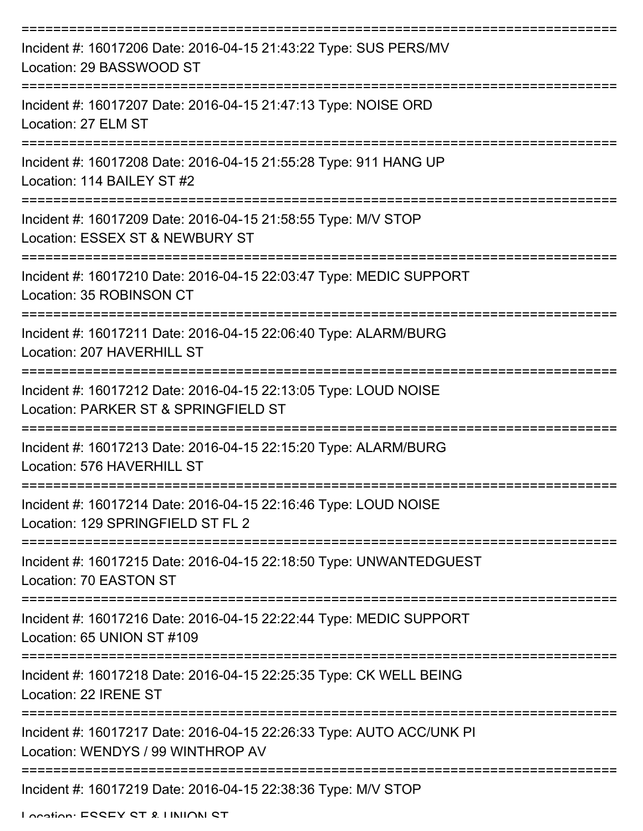| Incident #: 16017206 Date: 2016-04-15 21:43:22 Type: SUS PERS/MV<br>Location: 29 BASSWOOD ST              |
|-----------------------------------------------------------------------------------------------------------|
| Incident #: 16017207 Date: 2016-04-15 21:47:13 Type: NOISE ORD<br>Location: 27 ELM ST                     |
| Incident #: 16017208 Date: 2016-04-15 21:55:28 Type: 911 HANG UP<br>Location: 114 BAILEY ST #2            |
| Incident #: 16017209 Date: 2016-04-15 21:58:55 Type: M/V STOP<br>Location: ESSEX ST & NEWBURY ST          |
| Incident #: 16017210 Date: 2016-04-15 22:03:47 Type: MEDIC SUPPORT<br>Location: 35 ROBINSON CT            |
| Incident #: 16017211 Date: 2016-04-15 22:06:40 Type: ALARM/BURG<br>Location: 207 HAVERHILL ST             |
| Incident #: 16017212 Date: 2016-04-15 22:13:05 Type: LOUD NOISE<br>Location: PARKER ST & SPRINGFIELD ST   |
| Incident #: 16017213 Date: 2016-04-15 22:15:20 Type: ALARM/BURG<br>Location: 576 HAVERHILL ST             |
| Incident #: 16017214 Date: 2016-04-15 22:16:46 Type: LOUD NOISE<br>Location: 129 SPRINGFIELD ST FL 2      |
| Incident #: 16017215 Date: 2016-04-15 22:18:50 Type: UNWANTEDGUEST<br>Location: 70 EASTON ST              |
| Incident #: 16017216 Date: 2016-04-15 22:22:44 Type: MEDIC SUPPORT<br>Location: 65 UNION ST #109          |
| Incident #: 16017218 Date: 2016-04-15 22:25:35 Type: CK WELL BEING<br>Location: 22 IRENE ST               |
| Incident #: 16017217 Date: 2016-04-15 22:26:33 Type: AUTO ACC/UNK PI<br>Location: WENDYS / 99 WINTHROP AV |
| Incident #: 16017219 Date: 2016-04-15 22:38:36 Type: M/V STOP                                             |

Location: ESSEY ST & HINION ST